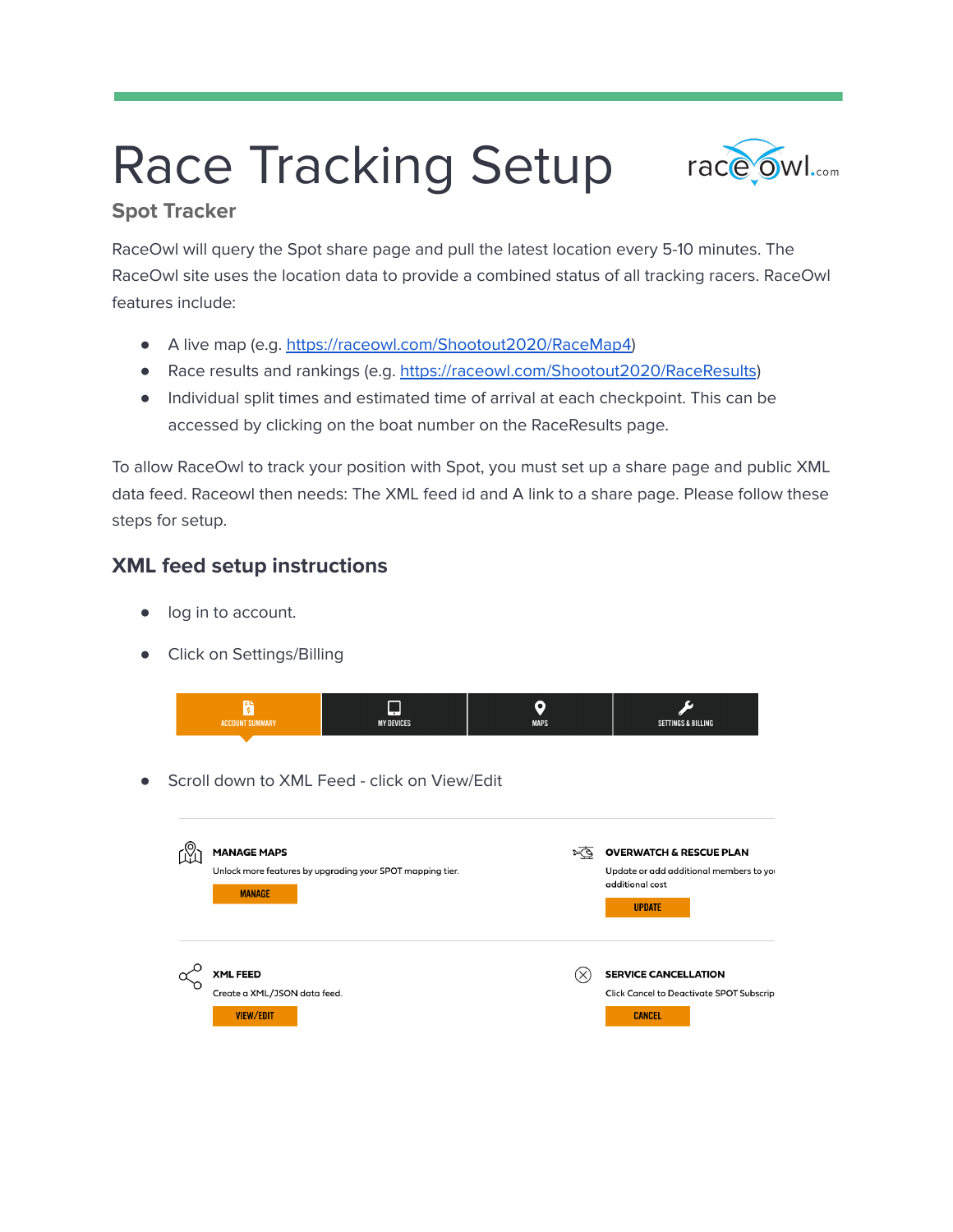# Race Tracking Setup



## **Spot Tracker**

RaceOwl will query the Spot share page and pull the latest location every 5-10 minutes. The RaceOwl site uses the location data to provide a combined status of all tracking racers. RaceOwl features include:

- A live map (e.g. [https://raceowl.com/Shootout2020/RaceMap4\)](https://raceowl.com/Shootout2020/RaceMap4)
- Race results and rankings (e.g. <https://raceowl.com/Shootout2020/RaceResults>)
- Individual split times and estimated time of arrival at each checkpoint. This can be accessed by clicking on the boat number on the RaceResults page.

To allow RaceOwl to track your position with Spot, you must set up a share page and public XML data feed. Raceowl then needs: The XML feed id and A link to a share page. Please follow these steps for setup.

## **XML feed setup instructions**

- log in to account.
- Click on Settings/Billing



Scroll down to XML Feed - click on View/Edit

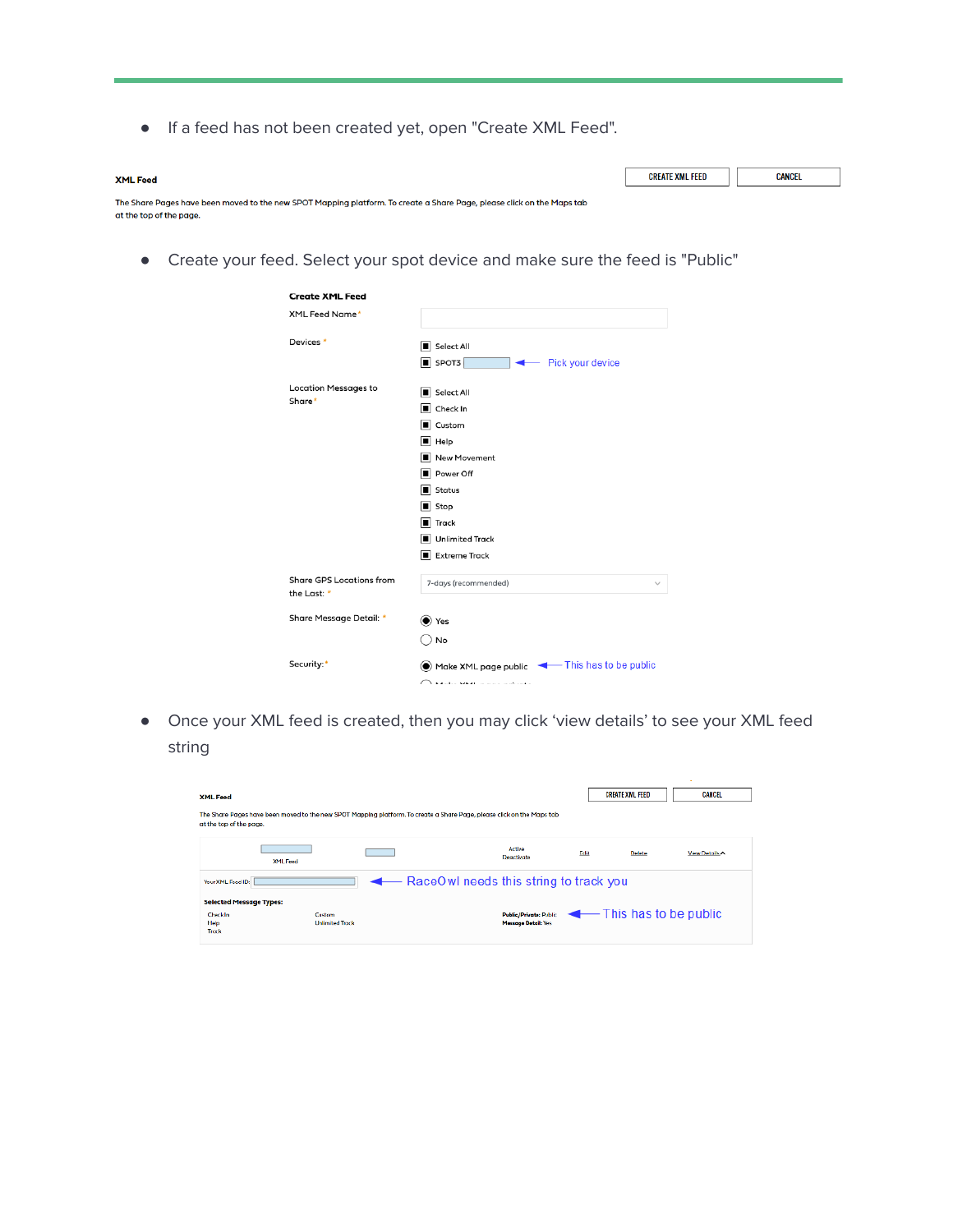● If a feed has not been created yet, open "Create XML Feed".

| <b>XML Feed</b>                                                                                                                                   | CREATE XML FEED | CANCEL |
|---------------------------------------------------------------------------------------------------------------------------------------------------|-----------------|--------|
| The Share Pages have been moved to the new SPOT Mapping platform. To create a Share Page, please click on the Maps tab<br>at the top of the page. |                 |        |

● Create your feed. Select your spot device and make sure the feed is "Public"

| <b>Create XML Feed</b>                         |                                                                                                                                                                                                                                                                                   |
|------------------------------------------------|-----------------------------------------------------------------------------------------------------------------------------------------------------------------------------------------------------------------------------------------------------------------------------------|
| XML Feed Name*                                 |                                                                                                                                                                                                                                                                                   |
| Devices *                                      | Select All<br>$\overline{\phantom{a}}$ SPOT3<br>Pick your device<br>$\overline{\phantom{a}}$                                                                                                                                                                                      |
| <b>Location Messages to</b><br>Share*          | Select All<br>Check In<br>Custom<br>$\blacksquare$ Help<br>New Movement<br>Power Off<br>Status<br>$\blacksquare$ Stop<br><b>Track</b><br>Unlimited Track<br>Extreme Track                                                                                                         |
| <b>Share GPS Locations from</b><br>the Last: * | 7-days (recommended)                                                                                                                                                                                                                                                              |
| Share Message Detail: *                        | $\bullet$ Yes<br>No                                                                                                                                                                                                                                                               |
| Security:*                                     | Make XML page public < This has to be public<br>$\bigcap$ basic securities in the second second second second second second second second second second second second second second second second second second second second second second second second second second second se |

● Once your XML feed is created, then you may click 'view details' to see your XML feed string

| <b>XML Feed</b><br>at the top of the page.          |                                  | The Share Pages have been moved to the new SPOT Mapping platform. To create a Share Page, please click on the Maps tob- |                                                             |      | <b>CREATE XML FEED</b> | <b>CANCEL</b>  |
|-----------------------------------------------------|----------------------------------|-------------------------------------------------------------------------------------------------------------------------|-------------------------------------------------------------|------|------------------------|----------------|
|                                                     | <b>XML Feed</b>                  |                                                                                                                         | Active<br>Deactivate                                        | Edit | Delete                 | View Details < |
| Your XML Feed ID:<br><b>Selected Message Types:</b> |                                  | RaceOwl needs this string to track you                                                                                  |                                                             |      |                        |                |
| <b>Check In</b><br>Help<br>Trock                    | Custom<br><b>Unlimited Track</b> |                                                                                                                         | <b>Public/Private: Public</b><br><b>Massage Datail: Yes</b> |      | This has to be public  |                |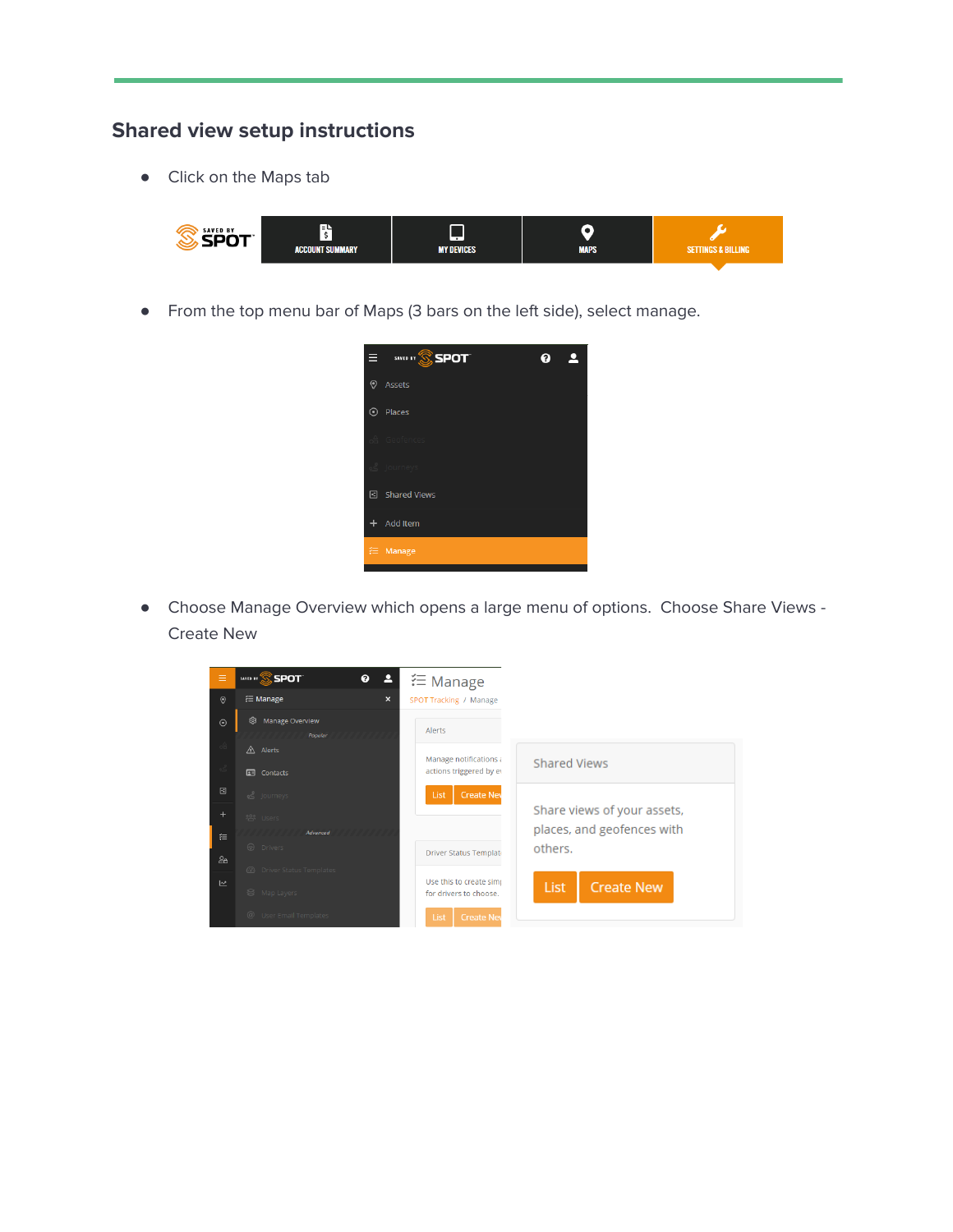# **Shared view setup instructions**

● Click on the Maps tab



● From the top menu bar of Maps (3 bars on the left side), select manage.



● Choose Manage Overview which opens a large menu of options. Choose Share Views - Create New

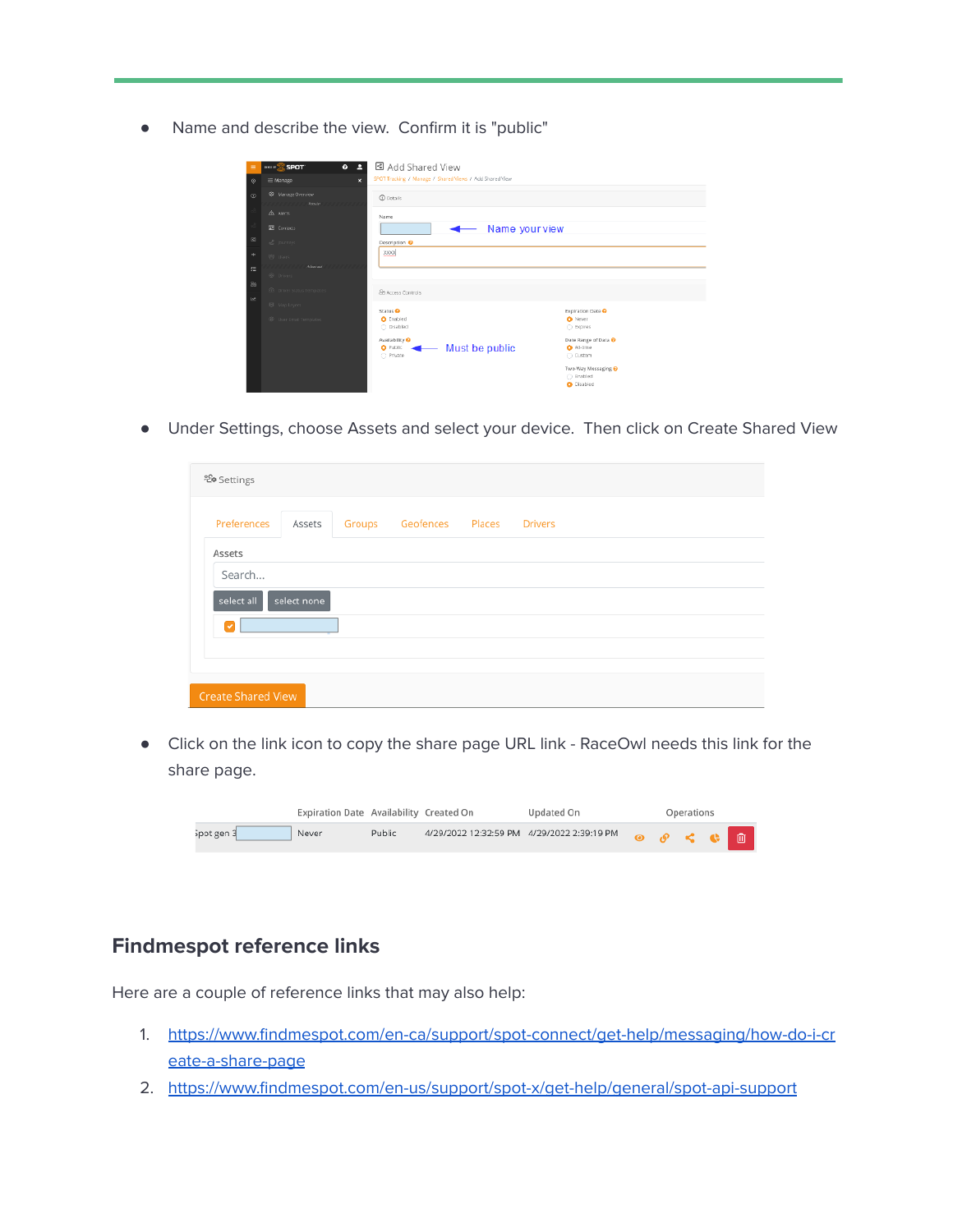● Name and describe the view. Confirm it is "public"

| Ξ       | $\cdots$ $\mathbb{S}$ spot<br>0 <sub>2</sub> | 데 Add Shared View<br>SPOT Tracking / Manage / Shared Views / Add Shared View |                |                                                  |
|---------|----------------------------------------------|------------------------------------------------------------------------------|----------------|--------------------------------------------------|
| $\odot$ | 注 Manage<br>$\pmb{\times}$                   |                                                                              |                |                                                  |
| $\odot$ | S Manage Overview<br>Persian                 | <b><i>O</i></b> Details                                                      |                |                                                  |
|         | A Alerts                                     | Name                                                                         |                |                                                  |
|         | <b>EB</b> Contacts                           |                                                                              | Name your view |                                                  |
| $\circ$ | of Jaumeys                                   | Description <sup>O</sup>                                                     |                |                                                  |
| ÷       | <b>RSN</b> Litters                           | <b>XXXX</b>                                                                  |                |                                                  |
| 挂       | Advanced<br>77777<br>@ Drivers               |                                                                              |                |                                                  |
| 2a      | <b>B</b> Driver Status Templates             | Se Access Controls                                                           |                |                                                  |
| ピ       | <b>B</b> Map Layers                          |                                                                              |                |                                                  |
|         | <sup>@</sup> User Email Templates            | Status <sup>6</sup><br>C Enabled<br>C Disabled                               |                | <b>Expiration Date O</b><br>O Never<br>○ Expires |
|         |                                              | Availability <sup>O</sup><br><b>O</b> Public<br>C Private                    | Must be public | Date Range of Data @<br>O All-time<br>○ Custom   |
|         |                                              |                                                                              |                | Two-Way Messaging @<br>○ Enabled<br>O Disabled   |

● Under Settings, choose Assets and select your device. Then click on Create Shared View

| Preferences | Assets      | Groups | Geofences | Places | <b>Drivers</b> |
|-------------|-------------|--------|-----------|--------|----------------|
| Assets      |             |        |           |        |                |
| Search      |             |        |           |        |                |
| select all  | select none |        |           |        |                |
| V           |             |        |           |        |                |
|             |             |        |           |        |                |

● Click on the link icon to copy the share page URL link - RaceOwl needs this link for the share page.

|            | Expiration Date Availability Created On |        |                                            | Updated On |                                         | Operations |   |
|------------|-----------------------------------------|--------|--------------------------------------------|------------|-----------------------------------------|------------|---|
| Spot gen 3 | Never                                   | Public | 4/29/2022 12:32:59 PM 4/29/2022 2:39:19 PM |            | $\circ$ $\circ$ $\circ$ $\circ$ $\circ$ |            | 血 |

#### **Findmespot reference links**

Here are a couple of reference links that may also help:

- 1. [https://www.findmespot.com/en-ca/support/spot-connect/get-help/messaging/how-do-i-cr](https://www.findmespot.com/en-ca/support/spot-connect/get-help/messaging/how-do-i-create-a-share-page) [eate-a-share-page](https://www.findmespot.com/en-ca/support/spot-connect/get-help/messaging/how-do-i-create-a-share-page)
- 2. <https://www.findmespot.com/en-us/support/spot-x/get-help/general/spot-api-support>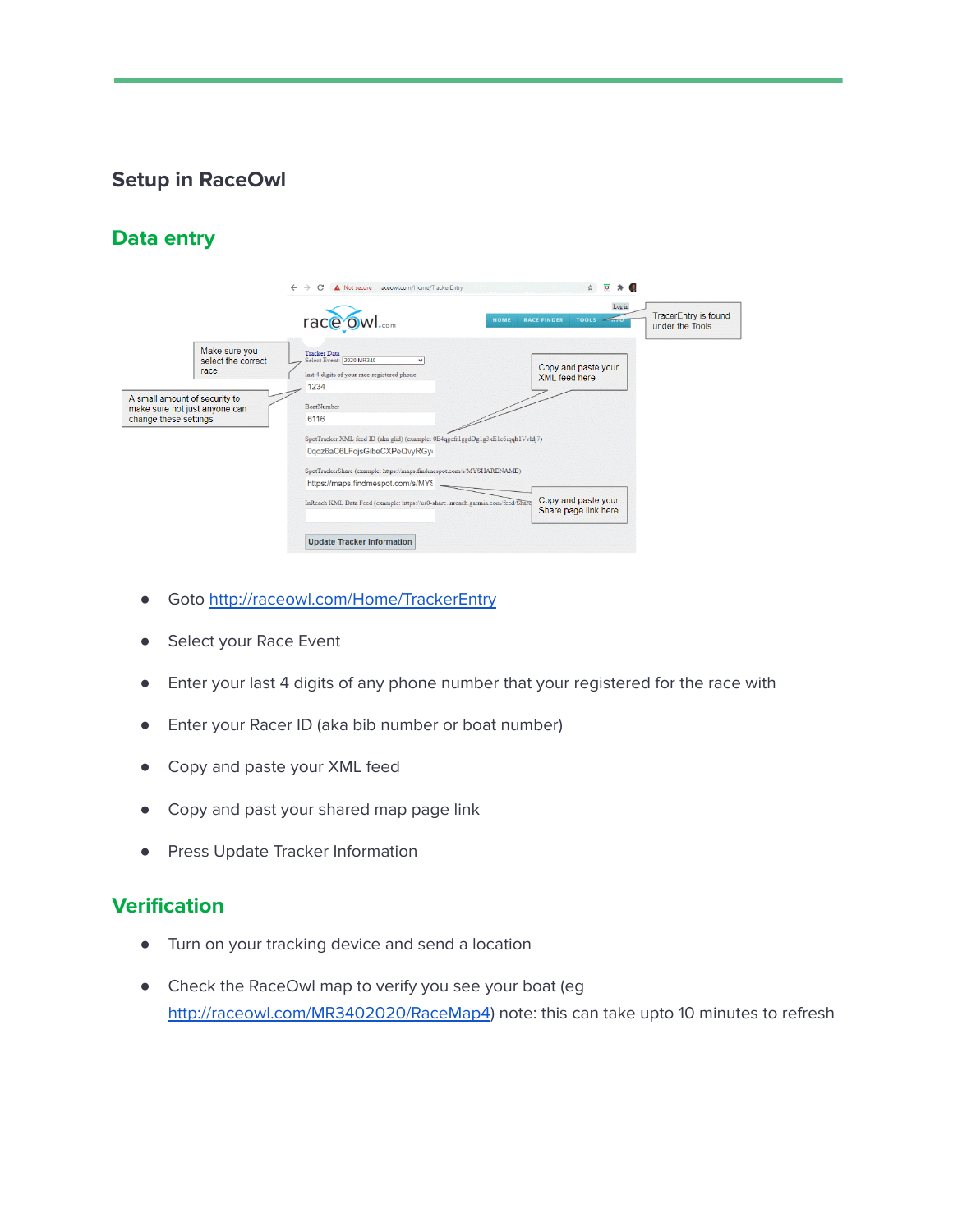# **Setup in RaceOwl**

# **Data entry**

|                                                                                         | A Not secure   raceowl.com/Home/TrackerEntry<br>$\rightarrow$<br>C<br>$\leftarrow$                                     | $\overline{a}$                                                                                           |
|-----------------------------------------------------------------------------------------|------------------------------------------------------------------------------------------------------------------------|----------------------------------------------------------------------------------------------------------|
|                                                                                         | race owl<br><b>HOME</b>                                                                                                | Log in<br><b>TracerEntry is found</b><br><b>RACE FINDER</b><br><b>TOOLS</b><br>$\sim$<br>under the Tools |
| Make sure you<br>select the correct<br>race                                             | <b>Tracker Data</b><br>Select Event: 2020 MR340<br>$\checkmark$<br>last 4 digits of your race-registered phone<br>1234 | Copy and paste your<br>XML feed here                                                                     |
| A small amount of security to<br>make sure not just anyone can<br>change these settings | <b>BoatNumber</b><br>6116                                                                                              |                                                                                                          |
|                                                                                         | SpotTracker XML feed ID (aka glid) (example: 0E4qgefr1ggdDg1g3xE1e6iqqh1Vvldj7)<br>0qoz6aC6LFojsGibeCXPeQvyRGy         |                                                                                                          |
|                                                                                         | SpotTrackerShare (example: https://maps.findmespot.com/s/MYSHARENAME)<br>https://maps.findmespot.com/s/MY9             |                                                                                                          |
|                                                                                         | InReach KML Data Feed (example: https://us0-share.inreach.garmin.com/feed/Share                                        | Copy and paste your<br>Share page link here                                                              |
|                                                                                         | <b>Update Tracker Information</b>                                                                                      |                                                                                                          |

- Goto <http://raceowl.com/Home/TrackerEntry>
- Select your Race Event
- Enter your last 4 digits of any phone number that your registered for the race with
- Enter your Racer ID (aka bib number or boat number)
- Copy and paste your XML feed
- Copy and past your shared map page link
- Press Update Tracker Information

#### **Verification**

- Turn on your tracking device and send a location
- Check the RaceOwl map to verify you see your boat (eg <http://raceowl.com/MR3402020/RaceMap4>) note: this can take upto 10 minutes to refresh